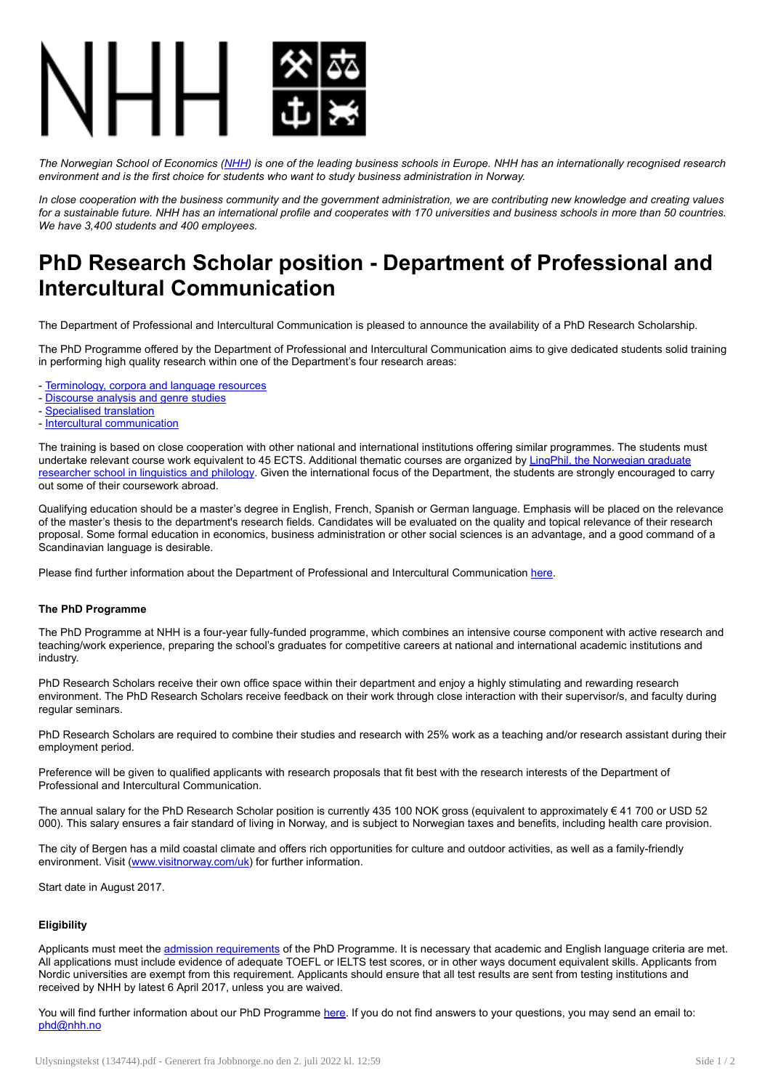

The Norwegian School of Economics [\(NHH](https://www.nhh.no/en/)) is one of the leading business schools in Europe. NHH has an internationally recognised research *environment and is the first choice for students who want to study business administration in Norway.*

In close cooperation with the business community and the government administration, we are contributing new knowledge and creating values for a sustainable future. NHH has an international profile and cooperates with 170 universities and business schools in more than 50 countries. *We have 3,400 students and 400 employees.*

## PhD Research Scholar position - Department of Professional and Intercultural Communication

The Department of Professional and Intercultural Communication is pleased to announce the availability of a PhD Research Scholarship.

The PhD Programme offered by the Department of Professional and Intercultural Communication aims to give dedicated students solid training in performing high quality research within one of the Department's four research areas:

- [Terminology,](https://www.nhh.no/en/departments/professional-and-intercultural-communication/research/terminology-corpora-and-language-resources/) corpora and language resources

- [Discourse](https://www.nhh.no/en/departments/professional-and-intercultural-communication/research/discourse-analysis-and-genre-studies/) analysis and genre studies
- [Specialised](https://www.nhh.no/en/departments/professional-and-intercultural-communication/research/specialised-translation/) translation
- Intercultural [communication](https://www.nhh.no/en/departments/professional-and-intercultural-communication/research/intercultural-communication/)

The training is based on close cooperation with other national and international institutions offering similar programmes. The students must undertake relevant course work equivalent to 45 ECTS. Additional thematic courses are organized by LingPhil, the Norwegian graduate researcher school in linguistics and philology. Given the international focus of the [Department,](https://www.ntnu.edu/lingphil) the students are strongly encouraged to carry out some of their coursework abroad.

Qualifying education should be a master's degree in English, French, Spanish or German language. Emphasis will be placed on the relevance of the master's thesis to the department's research fields. Candidates will be evaluated on the quality and topical relevance of their research proposal. Some formal education in economics, business administration or other social sciences is an advantage, and a good command of a Scandinavian language is desirable.

Please find further information about the Department of Professional and Intercultural Communication [here](https://www.nhh.no/en/departments/professional-and-intercultural-communication/).

## The PhD Programme

The PhD Programme at NHH is a four-year fully-funded programme, which combines an intensive course component with active research and teaching/work experience, preparing the school's graduates for competitive careers at national and international academic institutions and industry.

PhD Research Scholars receive their own office space within their department and enjoy a highly stimulating and rewarding research environment. The PhD Research Scholars receive feedback on their work through close interaction with their supervisor/s, and faculty during regular seminars.

PhD Research Scholars are required to combine their studies and research with 25% work as a teaching and/or research assistant during their employment period.

Preference will be given to qualified applicants with research proposals that fit best with the research interests of the Department of Professional and Intercultural Communication.

The annual salary for the PhD Research Scholar position is currently 435 100 NOK gross (equivalent to approximately € 41 700 or USD 52 000). This salary ensures a fair standard of living in Norway, and is subject to Norwegian taxes and benefits, including health care provision.

The city of Bergen has a mild coastal climate and offers rich opportunities for culture and outdoor activities, as well as a family-friendly environment. Visit [\(www.visitnorway.com/uk\)](http://www.visitnorway.com/uk) for further information.

Start date in August 2017.

## **Eligibility**

Applicants must meet the admission [requirements](https://www.nhh.no/en/study-programmes/phd-programme-at-nhh/admission/) of the PhD Programme. It is necessary that academic and English language criteria are met. All applications must include evidence of adequate TOEFL or IELTS test scores, or in other ways document equivalent skills. Applicants from Nordic universities are exempt from this requirement. Applicants should ensure that all test results are sent from testing institutions and received by NHH by latest 6 April 2017, unless you are waived.

You will find further information about our PhD Programme [here](https://www.nhh.no/en/study-programmes/phd-programme-at-nhh/). If you do not find answers to your questions, you may send an email to: [phd@nhh.no](mailto:phd@nhh.no)